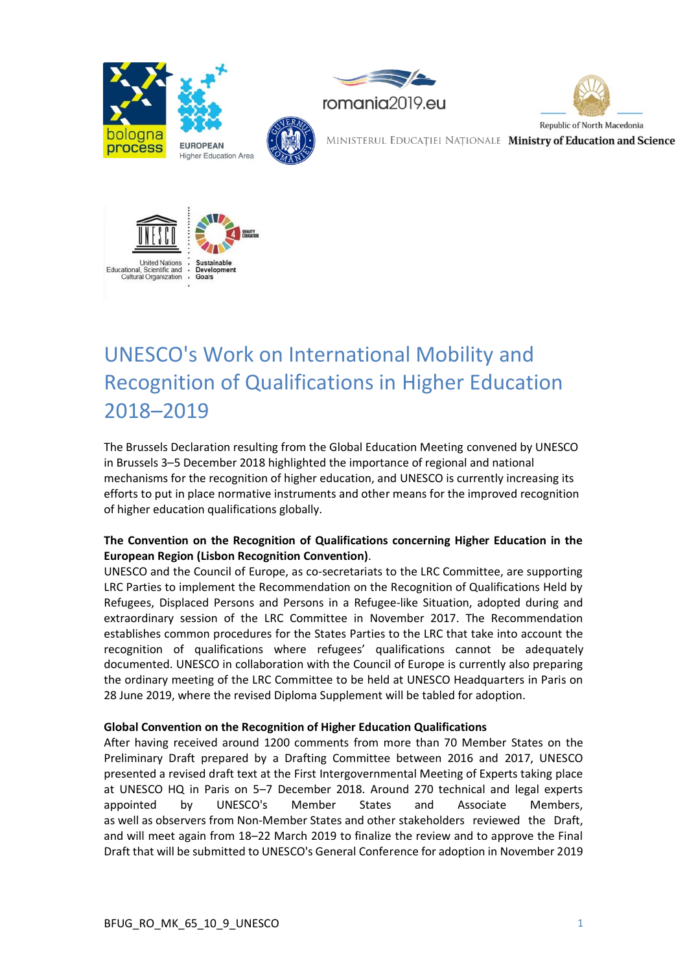



# UNESCO's Work on International Mobility and Recognition of Qualifications in Higher Education 2018–2019

The Brussels Declaration resulting from the Global Education Meeting convened by UNESCO in Brussels 3–5 December 2018 highlighted the importance of regional and national mechanisms for the recognition of higher education, and UNESCO is currently increasing its efforts to put in place normative instruments and other means for the improved recognition of higher education qualifications globally.

## **The Convention on the Recognition of Qualifications concerning Higher Education in the European Region (Lisbon Recognition Convention)**.

UNESCO and the Council of Europe, as co-secretariats to the LRC Committee, are supporting LRC Parties to implement the Recommendation on the Recognition of Qualifications Held by Refugees, Displaced Persons and Persons in a Refugee-like Situation, adopted during and extraordinary session of the LRC Committee in November 2017. The Recommendation establishes common procedures for the States Parties to the LRC that take into account the recognition of qualifications where refugees' qualifications cannot be adequately documented. UNESCO in collaboration with the Council of Europe is currently also preparing the ordinary meeting of the LRC Committee to be held at UNESCO Headquarters in Paris on 28 June 2019, where the revised Diploma Supplement will be tabled for adoption.

### **Global Convention on the Recognition of Higher Education Qualifications**

After having received around 1200 comments from more than 70 Member States on the Preliminary Draft prepared by a Drafting Committee between 2016 and 2017, UNESCO presented a revised draft text at the First Intergovernmental Meeting of Experts taking place at UNESCO HQ in Paris on 5–7 December 2018. Around 270 technical and legal experts appointed by UNESCO's Member States and Associate Members, as well as observers from Non-Member States and other stakeholders reviewed the Draft, and will meet again from 18–22 March 2019 to finalize the review and to approve the Final Draft that will be submitted to UNESCO's General Conference for adoption in November 2019